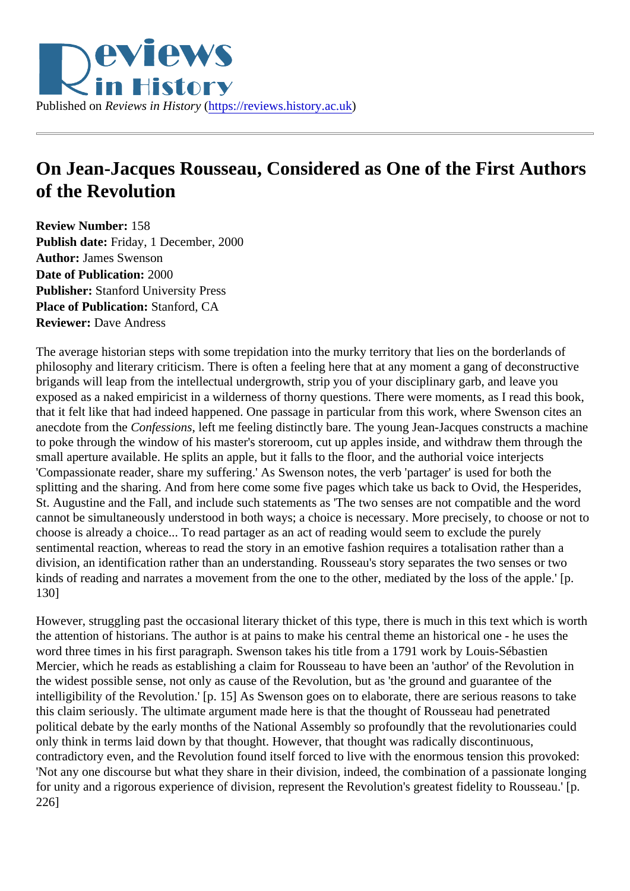## On Jean-Jacques Rousseau, Considered as One of the First Authors of the Revolution

Review Number: 158 Publish date: Friday, 1 December, 2000 Author: James Swenson Date of Publication: 2000 Publisher: Stanford University Press Place of Publication: Stanford, CA Reviewer: Dave Andress

The average historian steps with some trepidation into the murky territory that lies on the borderlands of philosophy and literary criticism. There is often a feeling here that at any moment a gang of deconstructive brigands will leap from the intellectual undergrowth, strip you of your disciplinary garb, and leave you exposed as a naked empiricist in a wilderness of thorny questions. There were moments, as I read this bo that it felt like that had indeed happened. One passage in particular from this work, where Swenson cites and anecdote from the Onfessions left me feeling distinctly bare. The young Jean-Jacques constructs a machine to poke through the window of his master's storeroom, cut up apples inside, and withdraw them through th small aperture available. He splits an apple, but it falls to the floor, and the authorial voice interjects 'Compassionate reader, share my suffering.' As Swenson notes, the verb 'partager' is used for both the splitting and the sharing. And from here come some five pages which take us back to Ovid, the Hesperide St. Augustine and the Fall, and include such statements as 'The two senses are not compatible and the word cannot be simultaneously understood in both ways; a choice is necessary. More precisely, to choose or no choose is already a choice... To read partager as an act of reading would seem to exclude the purely sentimental reaction, whereas to read the story in an emotive fashion requires a totalisation rather than a division, an identification rather than an understanding. Rousseau's story separates the two senses or two kinds of reading and narrates a movement from the one to the other, mediated by the loss of the apple.' [p 130]

However, struggling past the occasional literary thicket of this type, there is much in this text which is worth the attention of historians. The author is at pains to make his central theme an historical one - he uses the word three times in his first paragraph. Swenson takes his title from a 1791 work by Louis-Sébastien Mercier, which he reads as establishing a claim for Rousseau to have been an 'author' of the Revolution in the widest possible sense, not only as cause of the Revolution, but as 'the ground and guarantee of the intelligibility of the Revolution.' [p. 15] As Swenson goes on to elaborate, there are serious reasons to take this claim seriously. The ultimate argument made here is that the thought of Rousseau had penetrated political debate by the early months of the National Assembly so profoundly that the revolutionaries could only think in terms laid down by that thought. However, that thought was radically discontinuous, contradictory even, and the Revolution found itself forced to live with the enormous tension this provoked: 'Not any one discourse but what they share in their division, indeed, the combination of a passionate longi for unity and a rigorous experience of division, represent the Revolution's greatest fidelity to Rousseau.' [p 226]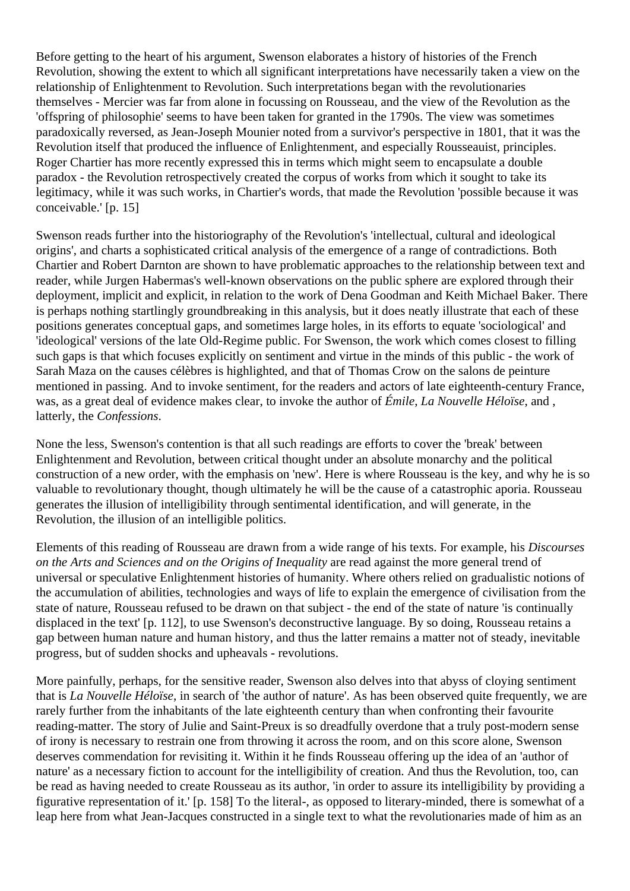Before getting to the heart of his argument, Swenson elaborates a history of histories of the French Revolution, showing the extent to which all significant interpretations have necessarily taken a view on the relationship of Enlightenment to Revolution. Such interpretations began with the revolutionaries themselves - Mercier was far from alone in focussing on Rousseau, and the view of the Revolution as the 'offspring of philosophie' seems to have been taken for granted in the 1790s. The view was sometimes paradoxically reversed, as Jean-Joseph Mounier noted from a survivor's perspective in 1801, that it was the Revolution itself that produced the influence of Enlightenment, and especially Rousseauist, principles. Roger Chartier has more recently expressed this in terms which might seem to encapsulate a double paradox - the Revolution retrospectively created the corpus of works from which it sought to take its legitimacy, while it was such works, in Chartier's words, that made the Revolution 'possible because it was conceivable.' [p. 15]

Swenson reads further into the historiography of the Revolution's 'intellectual, cultural and ideological origins', and charts a sophisticated critical analysis of the emergence of a range of contradictions. Both Chartier and Robert Darnton are shown to have problematic approaches to the relationship between text and reader, while Jurgen Habermas's well-known observations on the public sphere are explored through their deployment, implicit and explicit, in relation to the work of Dena Goodman and Keith Michael Baker. There is perhaps nothing startlingly groundbreaking in this analysis, but it does neatly illustrate that each of these positions generates conceptual gaps, and sometimes large holes, in its efforts to equate 'sociological' and 'ideological' versions of the late Old-Regime public. For Swenson, the work which comes closest to filling such gaps is that which focuses explicitly on sentiment and virtue in the minds of this public - the work of Sarah Maza on the causes célèbres is highlighted, and that of Thomas Crow on the salons de peinture mentioned in passing. And to invoke sentiment, for the readers and actors of late eighteenth-century France, was, as a great deal of evidence makes clear, to invoke the author of *Émile*, *La Nouvelle Héloïse*, and , latterly, the *Confessions*.

None the less, Swenson's contention is that all such readings are efforts to cover the 'break' between Enlightenment and Revolution, between critical thought under an absolute monarchy and the political construction of a new order, with the emphasis on 'new'. Here is where Rousseau is the key, and why he is so valuable to revolutionary thought, though ultimately he will be the cause of a catastrophic aporia. Rousseau generates the illusion of intelligibility through sentimental identification, and will generate, in the Revolution, the illusion of an intelligible politics.

Elements of this reading of Rousseau are drawn from a wide range of his texts. For example, his *Discourses on the Arts and Sciences and on the Origins of Inequality* are read against the more general trend of universal or speculative Enlightenment histories of humanity. Where others relied on gradualistic notions of the accumulation of abilities, technologies and ways of life to explain the emergence of civilisation from the state of nature, Rousseau refused to be drawn on that subject - the end of the state of nature 'is continually displaced in the text' [p. 112], to use Swenson's deconstructive language. By so doing, Rousseau retains a gap between human nature and human history, and thus the latter remains a matter not of steady, inevitable progress, but of sudden shocks and upheavals - revolutions.

More painfully, perhaps, for the sensitive reader, Swenson also delves into that abyss of cloying sentiment that is *La Nouvelle Héloïse*, in search of 'the author of nature'. As has been observed quite frequently, we are rarely further from the inhabitants of the late eighteenth century than when confronting their favourite reading-matter. The story of Julie and Saint-Preux is so dreadfully overdone that a truly post-modern sense of irony is necessary to restrain one from throwing it across the room, and on this score alone, Swenson deserves commendation for revisiting it. Within it he finds Rousseau offering up the idea of an 'author of nature' as a necessary fiction to account for the intelligibility of creation. And thus the Revolution, too, can be read as having needed to create Rousseau as its author, 'in order to assure its intelligibility by providing a figurative representation of it.' [p. 158] To the literal-, as opposed to literary-minded, there is somewhat of a leap here from what Jean-Jacques constructed in a single text to what the revolutionaries made of him as an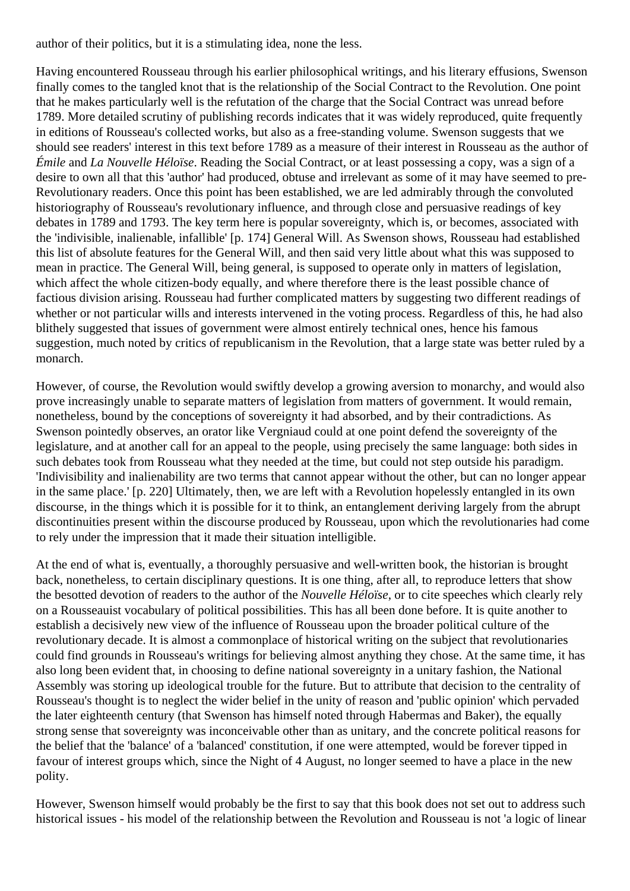author of their politics, but it is a stimulating idea, none the less.

Having encountered Rousseau through his earlier philosophical writings, and his literary effusions, Swenson finally comes to the tangled knot that is the relationship of the Social Contract to the Revolution. One point that he makes particularly well is the refutation of the charge that the Social Contract was unread before 1789. More detailed scrutiny of publishing records indicates that it was widely reproduced, quite frequently in editions of Rousseau's collected works, but also as a free-standing volume. Swenson suggests that we should see readers' interest in this text before 1789 as a measure of their interest in Rousseau as the author of *Émile* and *La Nouvelle Héloïse*. Reading the Social Contract, or at least possessing a copy, was a sign of a desire to own all that this 'author' had produced, obtuse and irrelevant as some of it may have seemed to pre-Revolutionary readers. Once this point has been established, we are led admirably through the convoluted historiography of Rousseau's revolutionary influence, and through close and persuasive readings of key debates in 1789 and 1793. The key term here is popular sovereignty, which is, or becomes, associated with the 'indivisible, inalienable, infallible' [p. 174] General Will. As Swenson shows, Rousseau had established this list of absolute features for the General Will, and then said very little about what this was supposed to mean in practice. The General Will, being general, is supposed to operate only in matters of legislation, which affect the whole citizen-body equally, and where therefore there is the least possible chance of factious division arising. Rousseau had further complicated matters by suggesting two different readings of whether or not particular wills and interests intervened in the voting process. Regardless of this, he had also blithely suggested that issues of government were almost entirely technical ones, hence his famous suggestion, much noted by critics of republicanism in the Revolution, that a large state was better ruled by a monarch.

However, of course, the Revolution would swiftly develop a growing aversion to monarchy, and would also prove increasingly unable to separate matters of legislation from matters of government. It would remain, nonetheless, bound by the conceptions of sovereignty it had absorbed, and by their contradictions. As Swenson pointedly observes, an orator like Vergniaud could at one point defend the sovereignty of the legislature, and at another call for an appeal to the people, using precisely the same language: both sides in such debates took from Rousseau what they needed at the time, but could not step outside his paradigm. 'Indivisibility and inalienability are two terms that cannot appear without the other, but can no longer appear in the same place.' [p. 220] Ultimately, then, we are left with a Revolution hopelessly entangled in its own discourse, in the things which it is possible for it to think, an entanglement deriving largely from the abrupt discontinuities present within the discourse produced by Rousseau, upon which the revolutionaries had come to rely under the impression that it made their situation intelligible.

At the end of what is, eventually, a thoroughly persuasive and well-written book, the historian is brought back, nonetheless, to certain disciplinary questions. It is one thing, after all, to reproduce letters that show the besotted devotion of readers to the author of the *Nouvelle Héloïse*, or to cite speeches which clearly rely on a Rousseauist vocabulary of political possibilities. This has all been done before. It is quite another to establish a decisively new view of the influence of Rousseau upon the broader political culture of the revolutionary decade. It is almost a commonplace of historical writing on the subject that revolutionaries could find grounds in Rousseau's writings for believing almost anything they chose. At the same time, it has also long been evident that, in choosing to define national sovereignty in a unitary fashion, the National Assembly was storing up ideological trouble for the future. But to attribute that decision to the centrality of Rousseau's thought is to neglect the wider belief in the unity of reason and 'public opinion' which pervaded the later eighteenth century (that Swenson has himself noted through Habermas and Baker), the equally strong sense that sovereignty was inconceivable other than as unitary, and the concrete political reasons for the belief that the 'balance' of a 'balanced' constitution, if one were attempted, would be forever tipped in favour of interest groups which, since the Night of 4 August, no longer seemed to have a place in the new polity.

However, Swenson himself would probably be the first to say that this book does not set out to address such historical issues - his model of the relationship between the Revolution and Rousseau is not 'a logic of linear